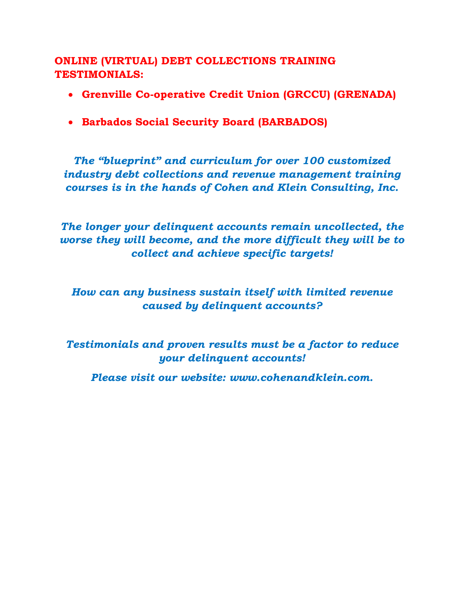**ONLINE (VIRTUAL) DEBT COLLECTIONS TRAINING TESTIMONIALS:**

- **Grenville Co-operative Credit Union (GRCCU) (GRENADA)**
- **Barbados Social Security Board (BARBADOS)**

*The "blueprint" and curriculum for over 100 customized industry debt collections and revenue management training courses is in the hands of Cohen and Klein Consulting, Inc.*

*The longer your delinquent accounts remain uncollected, the worse they will become, and the more difficult they will be to collect and achieve specific targets!*

*How can any business sustain itself with limited revenue caused by delinquent accounts?*

*Testimonials and proven results must be a factor to reduce your delinquent accounts!* 

*Please visit our website: www.cohenandklein.com.*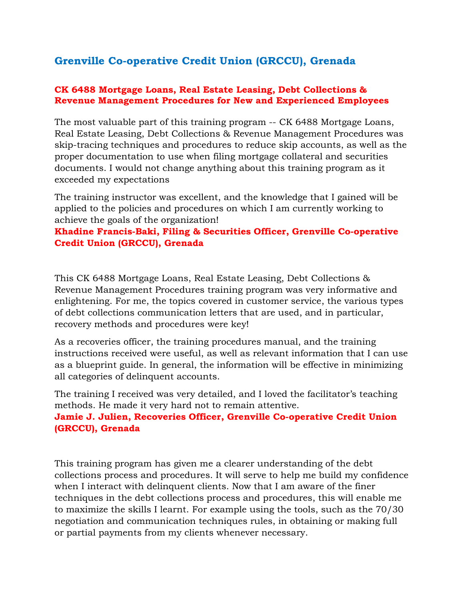## **Grenville Co-operative Credit Union (GRCCU), Grenada**

#### **CK 6488 Mortgage Loans, Real Estate Leasing, Debt Collections & Revenue Management Procedures for New and Experienced Employees**

The most valuable part of this training program -- CK 6488 Mortgage Loans, Real Estate Leasing, Debt Collections & Revenue Management Procedures was skip-tracing techniques and procedures to reduce skip accounts, as well as the proper documentation to use when filing mortgage collateral and securities documents. I would not change anything about this training program as it exceeded my expectations

The training instructor was excellent, and the knowledge that I gained will be applied to the policies and procedures on which I am currently working to achieve the goals of the organization!

### **Khadine Francis-Baki, Filing & Securities Officer, Grenville Co-operative Credit Union (GRCCU), Grenada**

This CK 6488 Mortgage Loans, Real Estate Leasing, Debt Collections & Revenue Management Procedures training program was very informative and enlightening. For me, the topics covered in customer service, the various types of debt collections communication letters that are used, and in particular, recovery methods and procedures were key!

As a recoveries officer, the training procedures manual, and the training instructions received were useful, as well as relevant information that I can use as a blueprint guide. In general, the information will be effective in minimizing all categories of delinquent accounts.

The training I received was very detailed, and I loved the facilitator's teaching methods. He made it very hard not to remain attentive.

### **Jamie J. Julien, Recoveries Officer, Grenville Co-operative Credit Union (GRCCU), Grenada**

This training program has given me a clearer understanding of the debt collections process and procedures. It will serve to help me build my confidence when I interact with delinquent clients. Now that I am aware of the finer techniques in the debt collections process and procedures, this will enable me to maximize the skills I learnt. For example using the tools, such as the 70/30 negotiation and communication techniques rules, in obtaining or making full or partial payments from my clients whenever necessary.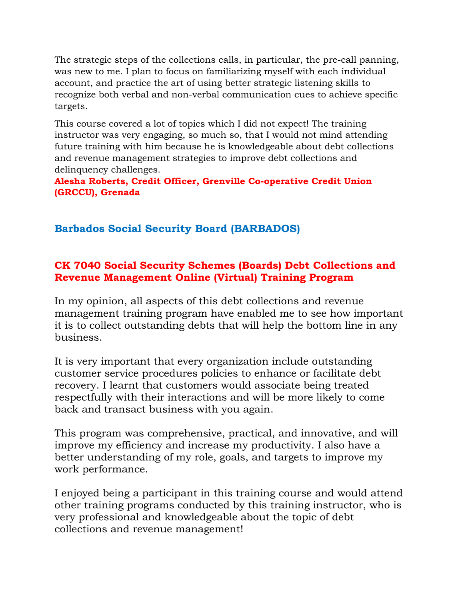The strategic steps of the collections calls, in particular, the pre-call panning, was new to me. I plan to focus on familiarizing myself with each individual account, and practice the art of using better strategic listening skills to recognize both verbal and non-verbal communication cues to achieve specific targets.

This course covered a lot of topics which I did not expect! The training instructor was very engaging, so much so, that I would not mind attending future training with him because he is knowledgeable about debt collections and revenue management strategies to improve debt collections and delinquency challenges.

**Alesha Roberts, Credit Officer, Grenville Co-operative Credit Union (GRCCU), Grenada**

# **Barbados Social Security Board (BARBADOS)**

### **CK 7040 Social Security Schemes (Boards) Debt Collections and Revenue Management Online (Virtual) Training Program**

In my opinion, all aspects of this debt collections and revenue management training program have enabled me to see how important it is to collect outstanding debts that will help the bottom line in any business.

It is very important that every organization include outstanding customer service procedures policies to enhance or facilitate debt recovery. I learnt that customers would associate being treated respectfully with their interactions and will be more likely to come back and transact business with you again.

This program was comprehensive, practical, and innovative, and will improve my efficiency and increase my productivity. I also have a better understanding of my role, goals, and targets to improve my work performance.

I enjoyed being a participant in this training course and would attend other training programs conducted by this training instructor, who is very professional and knowledgeable about the topic of debt collections and revenue management!